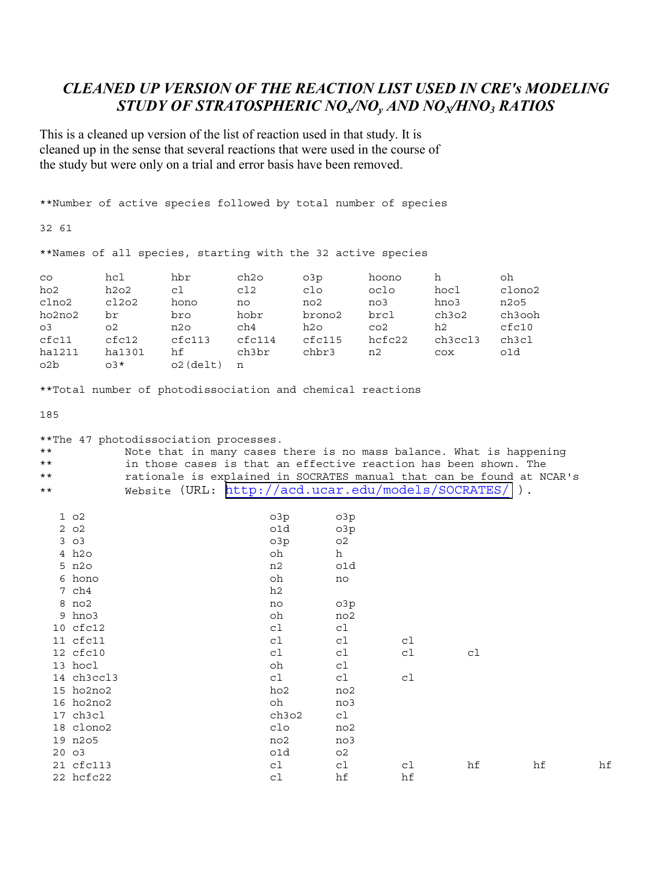## **CLEANED UP VERSION OF THE REACTION LIST USED IN CRE'S MODELING** STUDY OF STRATOSPHERIC NO<sub>v</sub>/NO<sub>v</sub> AND NO<sub>v</sub>/HNO<sub>3</sub> RATIOS

This is a cleaned up version of the list of reaction used in that study. It is cleaned up in the sense that several reactions that were used in the course of the study but were only on a trial and error basis have been removed.

\*\*Number of active species followed by total number of species 32 61 \*\*Names of all species, starting with the 32 active species hcl hbr ch<sub>20</sub>  $O3p$ hoono h oh  $CO$ ho<sub>2</sub>  $h2o2$ cl  $c12$  $c1$ o oclo hocl clono2 clno2  $c12o2$ hono no3 hno3 n205 no no2 ho2no2 br bro hobr brono2 brcl ch3o2 ch3ooh  $cfc10$  $O<sup>3</sup>$  $O<sub>2</sub>$ n2o ch4 h2o  $CO<sub>2</sub>$  $h2$  $cfc11$  $cfc12$  $cfc113$  $cfc114$  $cfc115$ hcfc22 ch3ccl3 ch3cl  $O1d$ chbr3 ha1211 ha1301 hf ch3br  $n2$  $COX$  $O2b$  $03*$  $o2$  (delt)  $n$ \*\*Total number of photodissociation and chemical reactions 185 \*\*The 47 photodissociation processes.  $\star \star$ Note that in many cases there is no mass balance. What is happening  $\star \star$ in those cases is that an effective reaction has been shown. The  $\star \star$ rationale is explained in SOCRATES manual that can be found at NCAR's Website (URL: http://acd.ucar.edu/models/SOCRATES/).  $* *$  $1<sub>o2</sub>$ o3p o3p  $2 \circ 2$ o1d o3p  $303$  $O<sub>3p</sub>$  $O<sub>2</sub>$ 4 h2o oh  $h$  $5 n20$  $n<sub>2</sub>$ o1d 6 hono oh no 7 ch4  $h2$ 8 no2  $O<sub>3p</sub>$  $n<sub>0</sub>$  $9$  hno  $3$ no2  $\bigcap$ 10 cfc12  $c1$  $C<sup>1</sup>$ 11 cfc11  $c1$ cl  $c1$ 12 cfc10  ${\tt c1}$  $c1$  $c1$  $c1$ 13 hocl oh cl 14 ch3ccl3  $c1$  $c1$  $c1$ 15 ho2no2  $ho2$ no2 16 ho2no2 oh  $n<sub>0</sub>$ 3 17 ch3cl ch3o2  $c1$ 18 clono2  $c10$  $no2$ 19 n2o5  $n<sub>0</sub>2$  $n<sub>0</sub>$  $20 \quad 03$  $c1d$  $O<sub>2</sub>$ 21 cfc113  $c1$ c1 c1 hf hf 22 hcfc22 cl hf hf

hf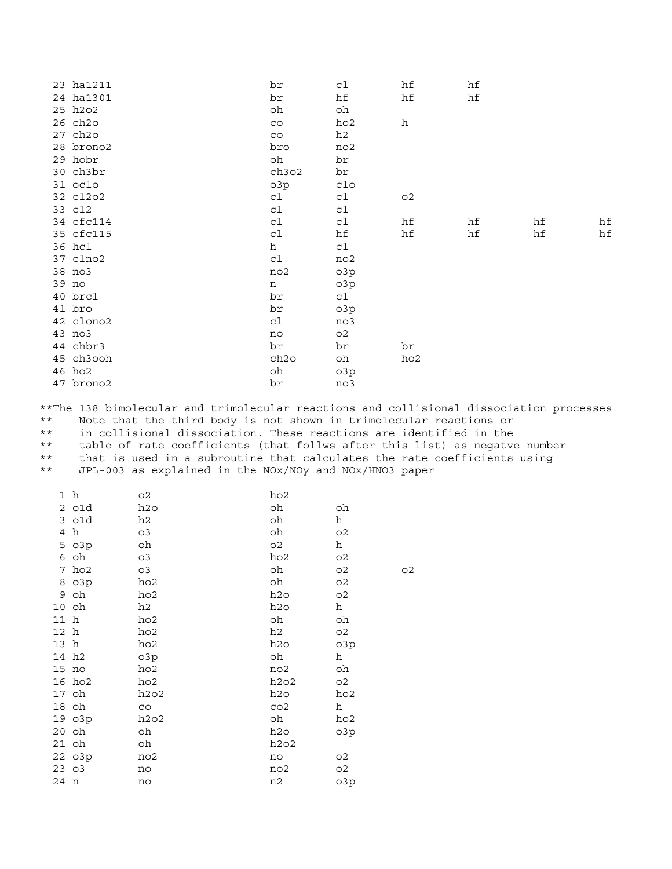| 23 ha1211 | br    | cl             | hf             | hf |    |    |
|-----------|-------|----------------|----------------|----|----|----|
| 24 ha1301 | br    | hf             | hf             | hf |    |    |
| 25 h2o2   | oh    | oh             |                |    |    |    |
| 26 ch2o   | CO    | ho2            | h              |    |    |    |
| 27 ch2o   | CO    | h2             |                |    |    |    |
| 28 brono2 | bro   | no2            |                |    |    |    |
| 29 hobr   | oh    | br             |                |    |    |    |
| 30 ch3br  | ch3o2 | br             |                |    |    |    |
| 31 oclo   | o3p   | clo            |                |    |    |    |
| 32 cl2o2  | cl    | c1             | O <sub>2</sub> |    |    |    |
| 33 cl2    | cl    | cl             |                |    |    |    |
| 34 cfc114 | cl    | cl             | hf             | hf | hf | hf |
| 35 cfc115 | cl    | hf             | hf             | hf | hf | hf |
| 36 hcl    | h     | cl             |                |    |    |    |
| 37 clno2  | c1    | no2            |                |    |    |    |
| 38 no3    | no2   | o3p            |                |    |    |    |
| 39 no     | n     | o3p            |                |    |    |    |
| 40 brcl   | br    | cl             |                |    |    |    |
| 41 bro    | br    | o3p            |                |    |    |    |
| 42 clono2 | cl    | no3            |                |    |    |    |
| 43 no3    | no    | O <sub>2</sub> |                |    |    |    |
| 44 chbr3  | br    | br             | br             |    |    |    |
| 45 ch3ooh | ch2o  | oh             | ho2            |    |    |    |
| 46 ho2    | oh    | o3p            |                |    |    |    |
| 47 brono2 | br    | no3            |                |    |    |    |

\*\*The 138 bimolecular and trimolecular reactions and collisional dissociation processes

Note that the third body is not shown in trimolecular reactions or  $\star$   $\star$ 

 $\star \star$ in collisional dissociation. These reactions are identified in the

 $\star \star$ table of rate coefficients (that follws after this list) as negatve number

 $\star\,\star$ that is used in a subroutine that calculates the rate coefficients using

 $\star\,\star$ JPL-003 as explained in the NOx/NOy and NOx/HNO3 paper

|      | 1 h     | о2              | ho2             |                |                |
|------|---------|-----------------|-----------------|----------------|----------------|
|      | 2 o1d   | h2o             | oh              | oh             |                |
|      | 3 o1d   | h2              | oh              | h              |                |
| 4    | h       | O3              | oh              | O <sub>2</sub> |                |
|      | 5 o3p   | oh              | O <sub>2</sub>  | h              |                |
|      | 6 oh    | O <sub>3</sub>  | ho2             | O <sub>2</sub> |                |
|      | 7 ho2   | O <sub>3</sub>  | oh              | O <sub>2</sub> | O <sub>2</sub> |
|      | 8 o3p   | ho2             | oh              | O <sub>2</sub> |                |
|      | 9 oh    | ho2             | h2o             | O <sub>2</sub> |                |
|      | 10 oh   | h2              | h2o             | h              |                |
| 11 h |         | ho2             | oh              | oh             |                |
| 12 h |         | ho2             | h2              | O <sub>2</sub> |                |
| 13 h |         | ho2             | h2o             | o3p            |                |
|      | 14 h2   | O <sub>3p</sub> | oh              | h              |                |
|      | $15$ no | ho2             | no2             | oh             |                |
|      | 16 ho2  | ho2             | h2o2            | O <sub>2</sub> |                |
|      | 17 oh   | h202            | h2o             | ho2            |                |
|      | 18 oh   | CO              | CO <sub>2</sub> | h              |                |
|      | 19 o3p  | h2o2            | oh              | ho2            |                |
|      | 20 oh   | oh              | h2o             | o3p            |                |
|      | 21 oh   | oh              | h2o2            |                |                |
|      | 22 o3p  | no2             | no              | о2             |                |
|      | 2303    | no              | no2             | O <sub>2</sub> |                |
| 24 n |         | no              | n2              | o3p            |                |
|      |         |                 |                 |                |                |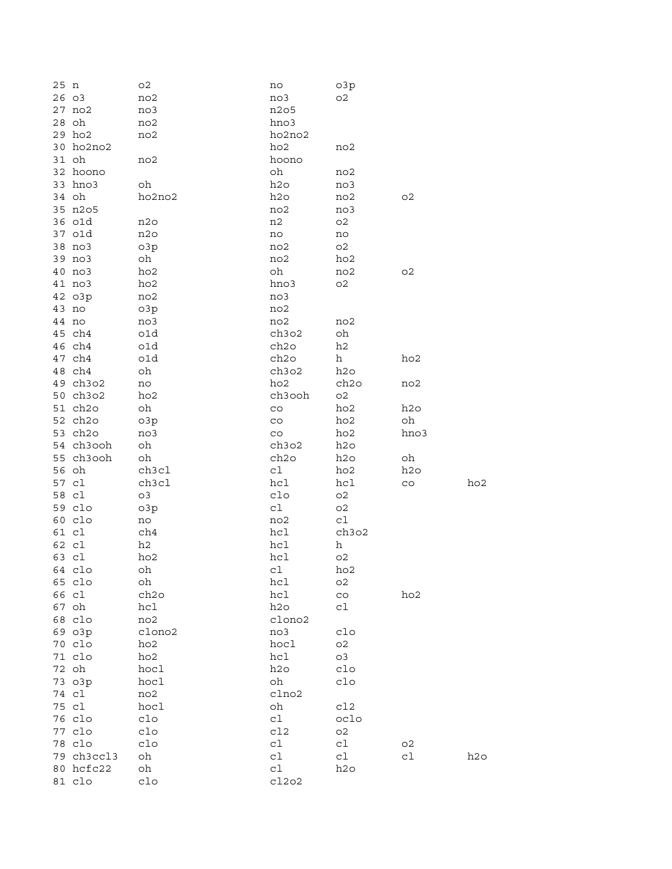| 25 n |            | O <sub>2</sub>  | no          | o3p            |                 |     |
|------|------------|-----------------|-------------|----------------|-----------------|-----|
|      | 26 03      | no2             | no3         | O <sub>2</sub> |                 |     |
|      | 27 no2     | no3             | n205        |                |                 |     |
|      | 28 oh      | no2             | hno3        |                |                 |     |
|      | 29 ho2     | no2             | ho2no2      |                |                 |     |
|      | 30 ho2no2  |                 | ho2         | no2            |                 |     |
|      | 31 oh      | no2             | hoono       |                |                 |     |
|      |            |                 |             |                |                 |     |
|      | 32 hoono   |                 | oh          | no2            |                 |     |
|      | 33 hno3    | oh              | h2o         | no3            |                 |     |
|      | 34 oh      | ho2no2          | h2o         | no2            | O <sub>2</sub>  |     |
|      | 35 n2o5    |                 | no2         | no3            |                 |     |
|      | 36 o1d     | n2o             | n2          | O <sub>2</sub> |                 |     |
|      | 37 o1d     | n2o             | no          | no             |                 |     |
|      | 38 no3     | O <sub>3p</sub> | no2         | O <sub>2</sub> |                 |     |
|      | 39 no3     | oh              | no2         | ho2            |                 |     |
|      | 40 no3     | ho2             | oh          | no2            | o2              |     |
|      | 41 no3     | ho2             | hno3        | O <sub>2</sub> |                 |     |
|      | 42 o3p     | no2             | no3         |                |                 |     |
|      | 43 no      | o3p             | no2         |                |                 |     |
|      | 44 no      | no3             | no2         | no2            |                 |     |
|      | 45 ch4     |                 |             |                |                 |     |
|      |            | o1d             | ch3o2       | oh             |                 |     |
|      | 46 ch4     | o1d             | ch2o        | h2             |                 |     |
|      | 47 ch4     | o1d             | ch2o        | h              | ho <sub>2</sub> |     |
|      | 48 ch4     | oh              | ch3o2       | h2o            |                 |     |
|      | 49 ch3o2   | no              | ho2         | ch2o           | no2             |     |
|      | 50 ch3o2   | ho2             | ch3ooh      | O <sub>2</sub> |                 |     |
|      | 51 ch2o    | oh              | $_{\rm CO}$ | ho2            | h2o             |     |
|      | 52 ch2o    | o3p             | $_{\rm CO}$ | ho2            | oh              |     |
|      | 53 ch2o    | no3             | CO          | ho2            | hno3            |     |
|      | 54 ch3ooh  | oh              | ch3o2       | h2o            |                 |     |
|      | 55 ch3ooh  | oh              | ch2o        | h2o            | oh              |     |
|      | 56 oh      | ch3cl           | c1          | ho2            | h2o             |     |
|      | 57 cl      | ch3cl           | hcl         | hcl            | $_{\rm CO}$     | ho2 |
|      | 58 cl      | o3              | clo         | O <sub>2</sub> |                 |     |
|      |            |                 |             |                |                 |     |
|      | 59 clo     | o3p             | cl          | O <sub>2</sub> |                 |     |
|      | 60 clo     | no              | no2         | c1             |                 |     |
|      | 61 cl      | ch4             | hcl         | ch3o2          |                 |     |
|      | 62 cl      | h2              | hcl         | h              |                 |     |
|      | 63 cl      | ho2             | hcl         | O <sub>2</sub> |                 |     |
|      | 64 clo     | oh              | cl          | ho2            |                 |     |
|      | 65 clo     | oh              | hcl         | O <sub>2</sub> |                 |     |
|      | 66 cl      | ch2o            | hcl         | $_{\rm CO}$    | ho2             |     |
|      | 67 oh      | hcl             | h2o         | cl             |                 |     |
|      | 68 clo     | no2             | clono2      |                |                 |     |
|      | 69 o3p     | clono2          | no3         | $c1$ o         |                 |     |
|      | 70 clo     | ho2             | hocl        | O <sub>2</sub> |                 |     |
|      | 71 clo     | ho2             | hc1         | o3             |                 |     |
|      | 72 oh      | hocl            | h2o         | clo            |                 |     |
|      | 73 o3p     | hocl            | oh          | clo            |                 |     |
|      | 74 cl      |                 | clno2       |                |                 |     |
|      |            | no2<br>hocl     |             |                |                 |     |
|      | 75 cl      |                 | oh          | cl2            |                 |     |
|      | 76 clo     | clo             | cl          | oclo           |                 |     |
|      | 77 clo     | clo             | c12         | O <sub>2</sub> |                 |     |
|      | 78 clo     | clo             | c1          | c1             | о2              |     |
|      | 79 ch3ccl3 | oh              | cl          | cl             | c1              | h2o |
|      | 80 hcfc22  | oh              | c1          | h2o            |                 |     |
|      | 81 clo     | clo             | c12o2       |                |                 |     |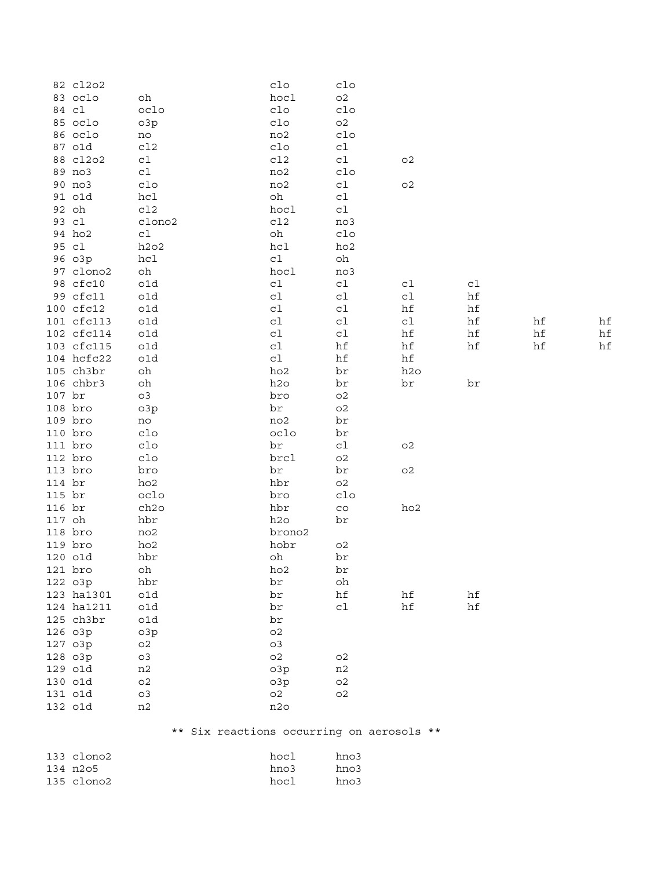|          | 82 cl2o2   |                                           | clo             | $c1$ o         |                 |    |    |    |
|----------|------------|-------------------------------------------|-----------------|----------------|-----------------|----|----|----|
|          | 83 oclo    | oh                                        | hocl            | O <sub>2</sub> |                 |    |    |    |
|          | 84 cl      | oclo                                      | $c1$ o          | clo            |                 |    |    |    |
|          | 85 oclo    | o3p                                       | $c1$ o          | $\mathtt{O}2$  |                 |    |    |    |
|          | 86 oclo    | no                                        | no2             | $c1$ o         |                 |    |    |    |
|          | 87 o1d     | c12                                       | $c1$ o          | c1             |                 |    |    |    |
|          | 88 cl2o2   | c1                                        | c12             | c1             | O <sub>2</sub>  |    |    |    |
|          | 89 no3     | cl                                        | no2             | $c1$ o         |                 |    |    |    |
|          | 90 no3     | $c1$ o                                    | no2             | ${\tt c1}$     | $\mathsf{O}2$   |    |    |    |
|          | 91 o1d     | hcl                                       | oh              | c1             |                 |    |    |    |
|          | 92 oh      | c12                                       | hocl            | c1             |                 |    |    |    |
|          | 93 cl      | clono2                                    | c12             | no3            |                 |    |    |    |
|          | 94 ho2     | cl                                        | oh              | clo            |                 |    |    |    |
|          | 95 cl      | h2o2                                      | hcl             | ho2            |                 |    |    |    |
|          | 96 o3p     | hc1                                       | ${\tt c1}$      | oh             |                 |    |    |    |
|          | 97 clono2  | oh                                        | hocl            | no3            |                 |    |    |    |
|          | 98 cfc10   | o1d                                       | ${\tt c1}$      | c1             | cl              | cl |    |    |
|          | 99 cfc11   | o1d                                       | ${\tt c1}$      | cl             | c1              | hf |    |    |
|          | 100 cfc12  | o1d                                       | ${\tt c1}$      | cl             | hf              | hf |    |    |
|          | 101 cfc113 | o1d                                       | ${\tt c1}$      | cl             | c1              | hf | hf | hf |
|          | 102 cfc114 |                                           |                 |                |                 |    |    |    |
|          |            | o1d                                       | c1              | c1             | hf              | hf | hf | hf |
|          | 103 cfc115 | o1d                                       | c1              | hf             | hf              | hf | hf | hf |
|          | 104 hcfc22 | o1d                                       | c1              | hf             | hf              |    |    |    |
|          | 105 ch3br  | oh                                        | ho <sub>2</sub> | br             | h2o             |    |    |    |
|          | 106 chbr3  | oh                                        | h2o             | br             | br              | br |    |    |
| $107$ br |            | o3                                        | bro             | $\mathsf{O}2$  |                 |    |    |    |
|          | $108$ bro  | o3p                                       | br              | $\mathtt{O}2$  |                 |    |    |    |
|          | 109 bro    | no                                        | no2             | br             |                 |    |    |    |
| 110 bro  |            | $c1$ o                                    | oclo            | br             |                 |    |    |    |
|          | 111 bro    | $c1$ o                                    | br              | cl             | $\mathtt{O}2$   |    |    |    |
| 112 bro  |            | $c1$ o                                    | brcl            | $\mathsf{O}2$  |                 |    |    |    |
|          | 113 bro    | bro                                       | br              | br             | $\mathtt{O}2$   |    |    |    |
| 114 br   |            | ho2                                       | hbr             | $\mathtt{O}2$  |                 |    |    |    |
| 115 br   |            | oclo                                      | bro             | $c1$ o         |                 |    |    |    |
| 116 br   |            | ch2o                                      | hbr             | $_{\rm CO}$    | ho <sub>2</sub> |    |    |    |
| 117 oh   |            | hbr                                       | h2o             | br             |                 |    |    |    |
|          | $118$ bro  | no2                                       | brono2          |                |                 |    |    |    |
|          | $119$ bro  | ho2                                       | hobr            | O <sub>2</sub> |                 |    |    |    |
|          | 120 o1d    | hbr                                       | oh              | br             |                 |    |    |    |
|          | 121 bro    | oh                                        | ho2             | br             |                 |    |    |    |
|          | 122 o3p    | hbr                                       | br              | oh             |                 |    |    |    |
|          | 123 ha1301 | o1d                                       | br              | hf             | hf              | hf |    |    |
|          | 124 ha1211 | o1d                                       | br              | cl             | hf              | hf |    |    |
|          | 125 ch3br  | o1d                                       | br              |                |                 |    |    |    |
|          | 126 o3p    | o3p                                       | O <sub>2</sub>  |                |                 |    |    |    |
|          | 127 o3p    | O <sub>2</sub>                            | O <sub>3</sub>  |                |                 |    |    |    |
|          | 128 o3p    | O <sub>3</sub>                            | O <sub>2</sub>  | O <sub>2</sub> |                 |    |    |    |
|          | 129 o1d    | n2                                        | o3p             | n2             |                 |    |    |    |
|          | 130 o1d    | O <sub>2</sub>                            | o3p             | O <sub>2</sub> |                 |    |    |    |
|          | 131 o1d    | O3                                        | O <sub>2</sub>  | O <sub>2</sub> |                 |    |    |    |
|          | 132 o1d    | n2                                        | n2o             |                |                 |    |    |    |
|          |            | ** Six reactions occurring on aerosols ** |                 |                |                 |    |    |    |
|          | 133 clono2 |                                           | hocl            | hno3           |                 |    |    |    |
|          | 134 n2o5   |                                           | hno3            | hno3           |                 |    |    |    |
|          | 135 clono2 |                                           | hocl            | hno3           |                 |    |    |    |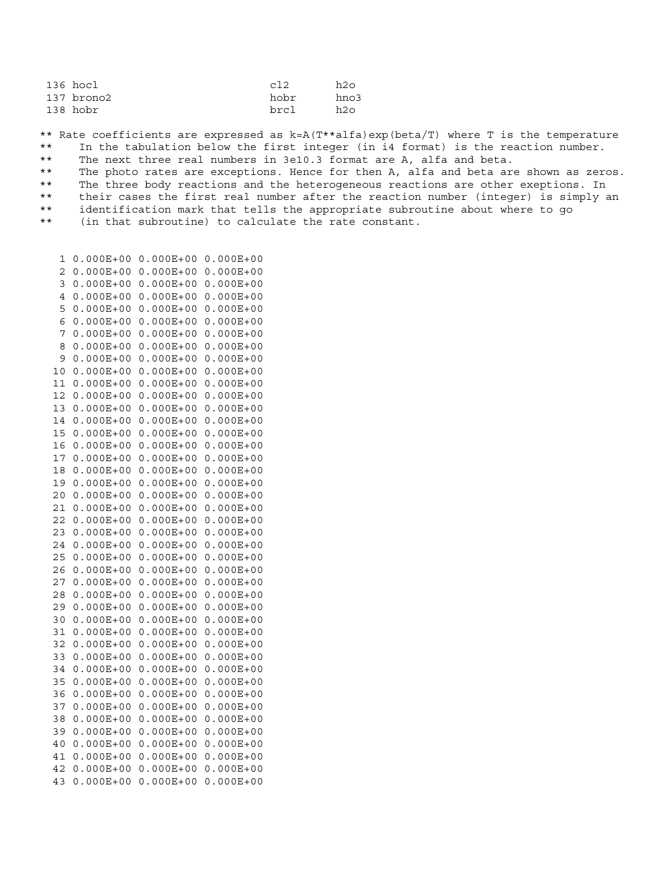| c12  | h2o  |
|------|------|
| hobr | hno3 |
| brc1 | h2o  |
|      |      |

\*\* Rate coefficients are expressed as k=A(T\*\*alfa)exp(beta/T) where T is the temperature \*\* In the tabulation below the first integer (in i4 format) is the reaction number.

\*\* The next three real numbers in 3e10.3 format are A, alfa and beta.

\*\* The photo rates are exceptions. Hence for then A, alfa and beta are shown as zeros.

\*\* The three body reactions and the heterogeneous reactions are other exeptions. In

\*\* their cases the first real number after the reaction number (integer) is simply an

\*\* identification mark that tells the appropriate subroutine about where to go

\*\* (in that subroutine) to calculate the rate constant.

 1 0.000E+00 0.000E+00 0.000E+00 2 0.000E+00 0.000E+00 0.000E+00 3 0.000E+00 0.000E+00 0.000E+00 4 0.000E+00 0.000E+00 0.000E+00 5 0.000E+00 0.000E+00 0.000E+00 6 0.000E+00 0.000E+00 0.000E+00 7 0.000E+00 0.000E+00 0.000E+00 8 0.000E+00 0.000E+00 0.000E+00 9 0.000E+00 0.000E+00 0.000E+00 10 0.000E+00 0.000E+00 0.000E+00 11 0.000E+00 0.000E+00 0.000E+00 12 0.000E+00 0.000E+00 0.000E+00 13 0.000E+00 0.000E+00 0.000E+00 14 0.000E+00 0.000E+00 0.000E+00 15 0.000E+00 0.000E+00 0.000E+00 16 0.000E+00 0.000E+00 0.000E+00 17 0.000E+00 0.000E+00 0.000E+00 18 0.000E+00 0.000E+00 0.000E+00 19 0.000E+00 0.000E+00 0.000E+00 20 0.000E+00 0.000E+00 0.000E+00 21 0.000E+00 0.000E+00 0.000E+00 22 0.000E+00 0.000E+00 0.000E+00 23 0.000E+00 0.000E+00 0.000E+00 24 0.000E+00 0.000E+00 0.000E+00 25 0.000E+00 0.000E+00 0.000E+00 26 0.000E+00 0.000E+00 0.000E+00 27 0.000E+00 0.000E+00 0.000E+00 28 0.000E+00 0.000E+00 0.000E+00 29 0.000E+00 0.000E+00 0.000E+00 30 0.000E+00 0.000E+00 0.000E+00 31 0.000E+00 0.000E+00 0.000E+00 32 0.000E+00 0.000E+00 0.000E+00 33 0.000E+00 0.000E+00 0.000E+00 34 0.000E+00 0.000E+00 0.000E+00 35 0.000E+00 0.000E+00 0.000E+00 36 0.000E+00 0.000E+00 0.000E+00 37 0.000E+00 0.000E+00 0.000E+00 38 0.000E+00 0.000E+00 0.000E+00 39 0.000E+00 0.000E+00 0.000E+00 40 0.000E+00 0.000E+00 0.000E+00 41 0.000E+00 0.000E+00 0.000E+00 42 0.000E+00 0.000E+00 0.000E+00 43 0.000E+00 0.000E+00 0.000E+00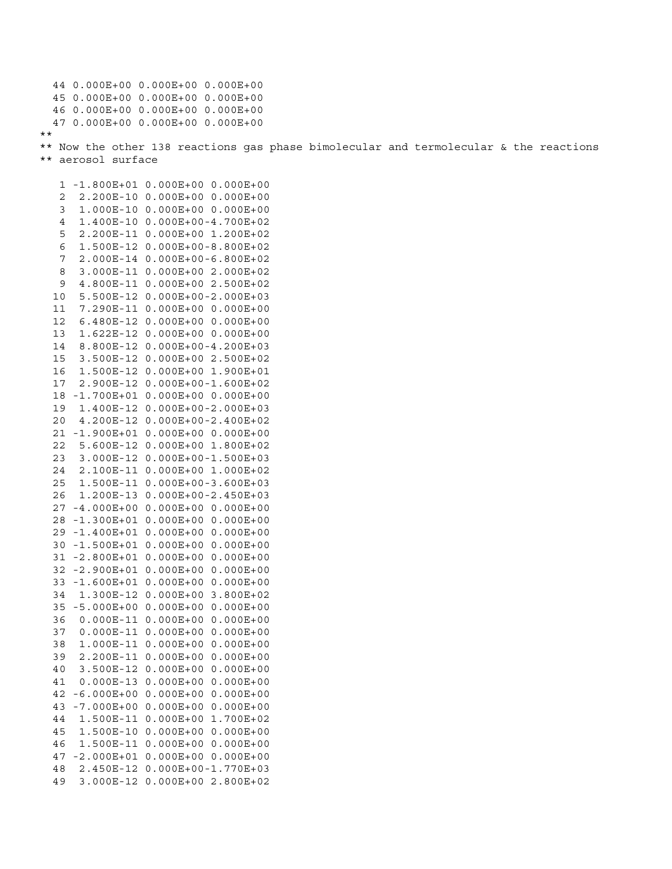44 0.000E+00 0.000E+00 0.000E+00 45 0.000E+00 0.000E+00 0.000E+00 46 0.000E+00 0.000E+00 0.000E+00 47 0.000E+00 0.000E+00 0.000E+00 \*\* \*\* Now the other 138 reactions gas phase bimolecular and termolecular & the reactions \*\* aerosol surface

 1 -1.800E+01 0.000E+00 0.000E+00 2 2.200E-10 0.000E+00 0.000E+00 3 1.000E-10 0.000E+00 0.000E+00 4 1.400E-10 0.000E+00-4.700E+02 5 2.200E-11 0.000E+00 1.200E+02 6 1.500E-12 0.000E+00-8.800E+02 7 2.000E-14 0.000E+00-6.800E+02 8 3.000E-11 0.000E+00 2.000E+02 9 4.800E-11 0.000E+00 2.500E+02 10 5.500E-12 0.000E+00-2.000E+03 11 7.290E-11 0.000E+00 0.000E+00 12 6.480E-12 0.000E+00 0.000E+00 13 1.622E-12 0.000E+00 0.000E+00 14 8.800E-12 0.000E+00-4.200E+03 15 3.500E-12 0.000E+00 2.500E+02 16 1.500E-12 0.000E+00 1.900E+01 17 2.900E-12 0.000E+00-1.600E+02 18 -1.700E+01 0.000E+00 0.000E+00 19 1.400E-12 0.000E+00-2.000E+03 20 4.200E-12 0.000E+00-2.400E+02 21 -1.900E+01 0.000E+00 0.000E+00 22 5.600E-12 0.000E+00 1.800E+02 23 3.000E-12 0.000E+00-1.500E+03 24 2.100E-11 0.000E+00 1.000E+02 25 1.500E-11 0.000E+00-3.600E+03 26 1.200E-13 0.000E+00-2.450E+03 27 -4.000E+00 0.000E+00 0.000E+00 28 -1.300E+01 0.000E+00 0.000E+00 29 -1.400E+01 0.000E+00 0.000E+00 30 -1.500E+01 0.000E+00 0.000E+00 31 -2.800E+01 0.000E+00 0.000E+00 32 -2.900E+01 0.000E+00 0.000E+00 33 -1.600E+01 0.000E+00 0.000E+00 34 1.300E-12 0.000E+00 3.800E+02 35 -5.000E+00 0.000E+00 0.000E+00 36 0.000E-11 0.000E+00 0.000E+00 37 0.000E-11 0.000E+00 0.000E+00 38 1.000E-11 0.000E+00 0.000E+00 39 2.200E-11 0.000E+00 0.000E+00 40 3.500E-12 0.000E+00 0.000E+00 41 0.000E-13 0.000E+00 0.000E+00 42 -6.000E+00 0.000E+00 0.000E+00 43 -7.000E+00 0.000E+00 0.000E+00 44 1.500E-11 0.000E+00 1.700E+02 45 1.500E-10 0.000E+00 0.000E+00 46 1.500E-11 0.000E+00 0.000E+00 47 -2.000E+01 0.000E+00 0.000E+00 48 2.450E-12 0.000E+00-1.770E+03 49 3.000E-12 0.000E+00 2.800E+02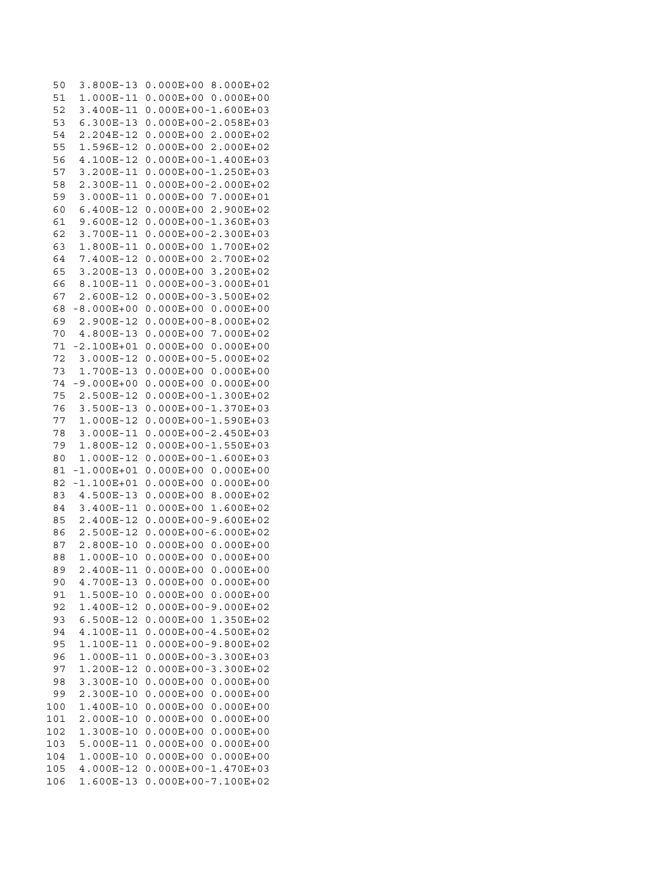50 3.800E-13 0.000E+00 8.000E+02 51 1.000E-11 0.000E+00 0.000E+00 52 3.400E-11 0.000E+00-1.600E+03 53 6.300E-13 0.000E+00-2.058E+03 54 2.204E-12 0.000E+00 2.000E+02 55 1.596E-12 0.000E+00 2.000E+02 56 4.100E-12 0.000E+00-1.400E+03 3.200E-11 0.000E+00-1.250E+03 57 58 2.300E-11 0.000E+00-2.000E+02 59 3.000E-11 0.000E+00 7.000E+01 60 6.400E-12 0.000E+00 2.900E+02 61 9.600E-12 0.000E+00-1.360E+03 62 3.700E-11 0.000E+00-2.300E+03 63 1.800E-11 0.000E+00 1.700E+02 7.400E-12 0.000E+00 2.700E+02 64 3.200E-13 0.000E+00 3.200E+02 65 8.100E-11 0.000E+00-3.000E+01 66 67 2.600E-12 0.000E+00-3.500E+02 68 -8.000E+00 0.000E+00 0.000E+00 69 2.900E-12 0.000E+00-8.000E+02 70 4.800E-13 0.000E+00 7.000E+02 71 -2.100E+01 0.000E+00 0.000E+00 72 3.000E-12 0.000E+00-5.000E+02 73 1.700E-13 0.000E+00 0.000E+00 74 -9.000E+00 0.000E+00 0.000E+00 75 2.500E-12 0.000E+00-1.300E+02 76 3.500E-13 0.000E+00-1.370E+03 77 1.000E-12 0.000E+00-1.590E+03 3.000E-11 0.000E+00-2.450E+03 7<sup>2</sup> 79 1.800E-12 0.000E+00-1.550E+03 1.000E-12 0.000E+00-1.600E+03  $80$ 81 -1.000E+01 0.000E+00 0.000E+00 82 -1.100E+01 0.000E+00 0.000E+00 4.500E-13 0.000E+00 8.000E+02  $83$ 3.400E-11 0.000E+00 1.600E+02 84 2.400E-12 0.000E+00-9.600E+02 85 86 2.500E-12 0.000E+00-6.000E+02 2.800E-10 0.000E+00 0.000E+00 87 88 1.000E-10 0.000E+00 0.000E+00 89 2.400E-11 0.000E+00 0.000E+00 90 4.700E-13 0.000E+00 0.000E+00 91 1.500E-10 0.000E+00 0.000E+00 92 1.400E-12 0.000E+00-9.000E+02 93 6.500E-12 0.000E+00 1.350E+02  $94$ 4.100E-11 0.000E+00-4.500E+02  $95$ 1.100E-11 0.000E+00-9.800E+02 96 1.000E-11 0.000E+00-3.300E+03 1.200E-12 0.000E+00-3.300E+02 97 98 3.300E-10 0.000E+00 0.000E+00 99 2.300E-10 0.000E+00 0.000E+00 100 1.400E-10 0.000E+00 0.000E+00 101 2.000E-10 0.000E+00 0.000E+00 102 1.300E-10 0.000E+00 0.000E+00 103 5.000E-11 0.000E+00 0.000E+00 104 1.000E-10 0.000E+00 0.000E+00 105 4.000E-12 0.000E+00-1.470E+03 106 1.600E-13 0.000E+00-7.100E+02